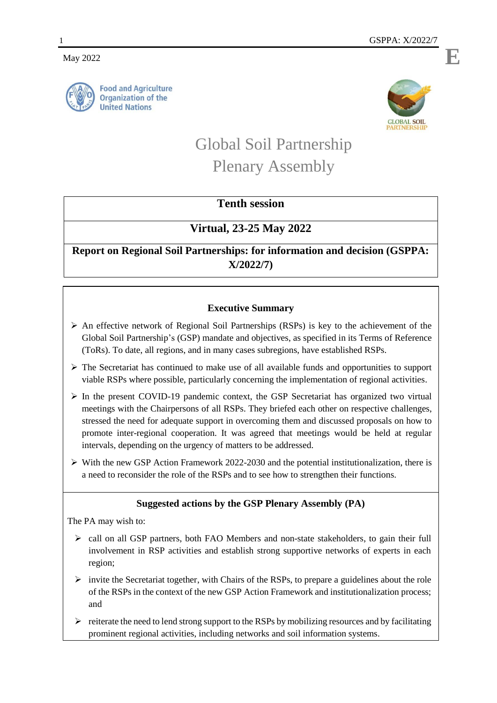**May** 2022



**Food and Agriculture Organization of the United Nations** 



# Global Soil Partnership Plenary Assembly

# **Tenth session**

## **Virtual, 23-25 May 2022**

**Report on Regional Soil Partnerships: for information and decision (GSPPA: X/2022/7)**

### **Executive Summary**

- An effective network of Regional Soil Partnerships (RSPs) is key to the achievement of the Global Soil Partnership's (GSP) mandate and objectives, as specified in its Terms of Reference (ToRs). To date, all regions, and in many cases subregions, have established RSPs.
- $\triangleright$  The Secretariat has continued to make use of all available funds and opportunities to support viable RSPs where possible, particularly concerning the implementation of regional activities.
- $\triangleright$  In the present COVID-19 pandemic context, the GSP Secretariat has organized two virtual meetings with the Chairpersons of all RSPs. They briefed each other on respective challenges, stressed the need for adequate support in overcoming them and discussed proposals on how to promote inter-regional cooperation. It was agreed that meetings would be held at regular intervals, depending on the urgency of matters to be addressed.
- $\triangleright$  With the new GSP Action Framework 2022-2030 and the potential institutionalization, there is a need to reconsider the role of the RSPs and to see how to strengthen their functions.

## **Suggested actions by the GSP Plenary Assembly (PA)**

The PA may wish to:

- $\triangleright$  call on all GSP partners, both FAO Members and non-state stakeholders, to gain their full involvement in RSP activities and establish strong supportive networks of experts in each region;
- $\triangleright$  invite the Secretariat together, with Chairs of the RSPs, to prepare a guidelines about the role of the RSPs in the context of the new GSP Action Framework and institutionalization process; and
- $\triangleright$  reiterate the need to lend strong support to the RSPs by mobilizing resources and by facilitating prominent regional activities, including networks and soil information systems.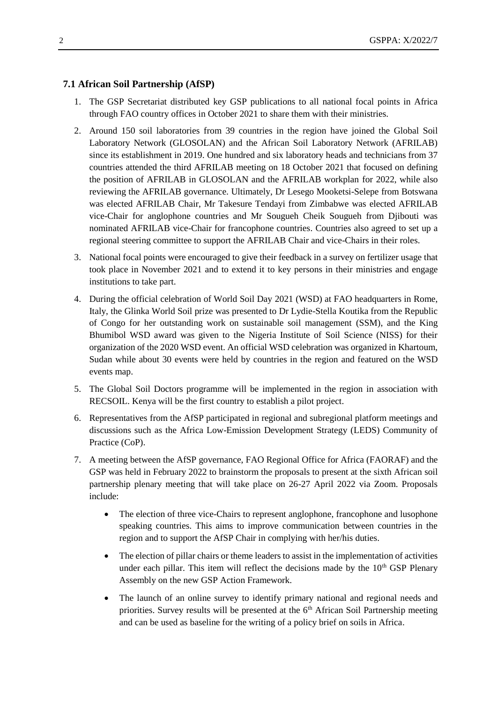#### **7.1 African Soil Partnership (AfSP)**

- 1. The GSP Secretariat distributed key GSP publications to all national focal points in Africa through FAO country offices in October 2021 to share them with their ministries.
- 2. Around 150 soil laboratories from 39 countries in the region have joined the Global Soil Laboratory Network (GLOSOLAN) and the African Soil Laboratory Network (AFRILAB) since its establishment in 2019. One hundred and six laboratory heads and technicians from 37 countries attended the third AFRILAB meeting on 18 October 2021 that focused on defining the position of AFRILAB in GLOSOLAN and the AFRILAB workplan for 2022, while also reviewing the AFRILAB governance. Ultimately, Dr Lesego Mooketsi-Selepe from Botswana was elected AFRILAB Chair, Mr Takesure Tendayi from Zimbabwe was elected AFRILAB vice-Chair for anglophone countries and Mr Sougueh Cheik Sougueh from Djibouti was nominated AFRILAB vice-Chair for francophone countries. Countries also agreed to set up a regional steering committee to support the AFRILAB Chair and vice-Chairs in their roles.
- 3. National focal points were encouraged to give their feedback in a survey on fertilizer usage that took place in November 2021 and to extend it to key persons in their ministries and engage institutions to take part.
- 4. During the official celebration of World Soil Day 2021 (WSD) at FAO headquarters in Rome, Italy, the Glinka World Soil prize was presented to Dr Lydie-Stella Koutika from the Republic of Congo for her outstanding work on sustainable soil management (SSM), and the King Bhumibol WSD award was given to the Nigeria Institute of Soil Science (NISS) for their organization of the 2020 WSD event. An official WSD celebration was organized in Khartoum, Sudan while about 30 events were held by countries in the region and featured on the [WSD](https://www.fao.org/world-soil-day/worldwide-events/en/)  [events map.](https://www.fao.org/world-soil-day/worldwide-events/en/)
- 5. The Global Soil Doctors programme will be implemented in the region in association with RECSOIL. Kenya will be the first country to establish a pilot project.
- 6. Representatives from the AfSP participated in regional and subregional platform meetings and discussions such as the Africa Low-Emission Development Strategy (LEDS) Community of Practice (CoP).
- 7. A meeting between the AfSP governance, FAO Regional Office for Africa (FAORAF) and the GSP was held in February 2022 to brainstorm the proposals to present at the sixth African soil partnership plenary meeting that will take place on 26-27 April 2022 via Zoom. Proposals include:
	- The election of three vice-Chairs to represent anglophone, francophone and lusophone speaking countries. This aims to improve communication between countries in the region and to support the AfSP Chair in complying with her/his duties.
	- The election of pillar chairs or theme leaders to assist in the implementation of activities under each pillar. This item will reflect the decisions made by the  $10<sup>th</sup> GSP$  Plenary Assembly on the new GSP Action Framework.
	- The launch of an online survey to identify primary national and regional needs and priorities. Survey results will be presented at the  $6<sup>th</sup>$  African Soil Partnership meeting and can be used as baseline for the writing of a policy brief on soils in Africa.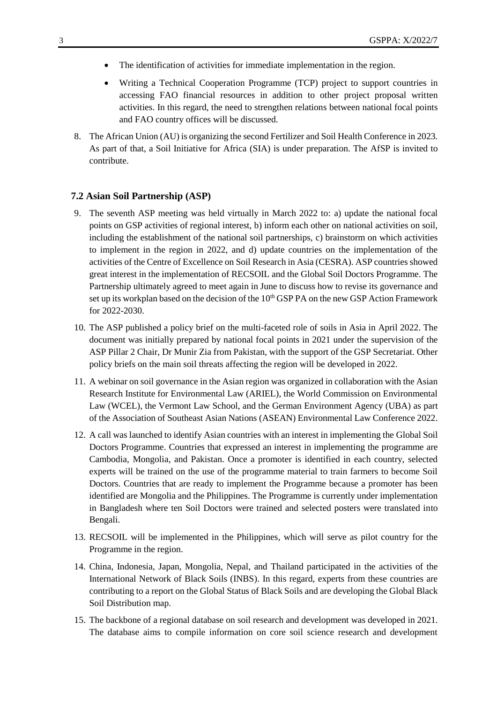- The identification of activities for immediate implementation in the region.
- Writing a Technical Cooperation Programme (TCP) project to support countries in accessing FAO financial resources in addition to other project proposal written activities. In this regard, the need to strengthen relations between national focal points and FAO country offices will be discussed.
- 8. The African Union (AU) is organizing the second Fertilizer and Soil Health Conference in 2023. As part of that, a Soil Initiative for Africa (SIA) is under preparation. The AfSP is invited to contribute.

#### **7.2 Asian Soil Partnership (ASP)**

- 9. The seventh ASP meeting was held virtually in March 2022 to: a) update the national focal points on GSP activities of regional interest, b) inform each other on national activities on soil, including the establishment of the national soil partnerships, c) brainstorm on which activities to implement in the region in 2022, and d) update countries on the implementation of the activities of the Centre of Excellence on Soil Research in Asia (CESRA). ASP countries showed great interest in the implementation of RECSOIL and the Global Soil Doctors Programme. The Partnership ultimately agreed to meet again in June to discuss how to revise its governance and set up its workplan based on the decision of the  $10<sup>th</sup> GSP PA$  on the new GSP Action Framework for 2022-2030.
- 10. The ASP published a policy brief on the multi-faceted role of soils in Asia in April 2022. The document was initially prepared by national focal points in 2021 under the supervision of the ASP Pillar 2 Chair, Dr Munir Zia from Pakistan, with the support of the GSP Secretariat. Other policy briefs on the main soil threats affecting the region will be developed in 2022.
- 11. A webinar on soil governance in the Asian region was organized in collaboration with the Asian Research Institute for Environmental Law (ARIEL), the World Commission on Environmental Law (WCEL), the Vermont Law School, and the German Environment Agency (UBA) as part of the Association of Southeast Asian Nations (ASEAN) Environmental Law Conference 2022.
- 12. A call was launched to identify Asian countries with an interest in implementing the Global Soil Doctors Programme. Countries that expressed an interest in implementing the programme are Cambodia, Mongolia, and Pakistan. Once a promoter is identified in each country, selected experts will be trained on the use of the programme material to train farmers to become Soil Doctors. Countries that are ready to implement the Programme because a promoter has been identified are Mongolia and the Philippines. The Programme is currently under implementation in Bangladesh where ten Soil Doctors were trained and selected posters were translated into Bengali.
- 13. RECSOIL will be implemented in the Philippines, which will serve as pilot country for the Programme in the region.
- 14. China, Indonesia, Japan, Mongolia, Nepal, and Thailand participated in the activities of the International Network of Black Soils (INBS). In this regard, experts from these countries are contributing to a report on the Global Status of Black Soils and are developing the Global Black Soil Distribution map.
- 15. The backbone of a regional database on soil research and development was developed in 2021. The database aims to compile information on core soil science research and development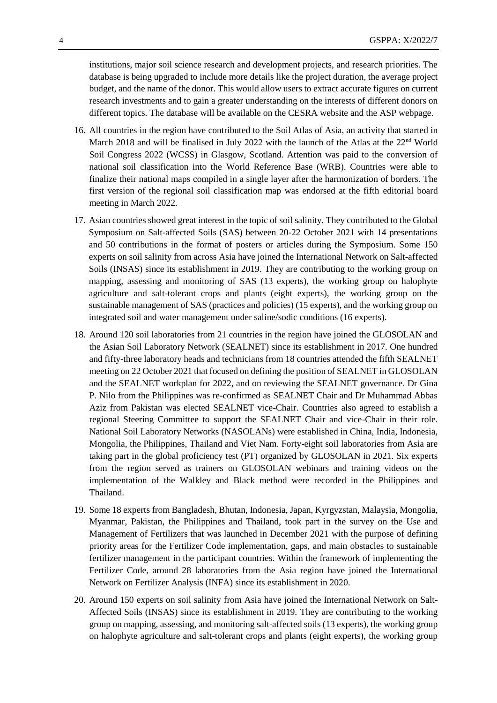institutions, major soil science research and development projects, and research priorities. The database is being upgraded to include more details like the project duration, the average project budget, and the name of the donor. This would allow users to extract accurate figures on current research investments and to gain a greater understanding on the interests of different donors on different topics. The database will be available on the CESRA website and the ASP webpage.

- 16. All countries in the region have contributed to the Soil Atlas of Asia, an activity that started in March 2018 and will be finalised in July 2022 with the launch of the Atlas at the 22<sup>nd</sup> World Soil Congress 2022 (WCSS) in Glasgow, Scotland. Attention was paid to the conversion of national soil classification into the World Reference Base (WRB). Countries were able to finalize their national maps compiled in a single layer after the harmonization of borders. The first version of the regional soil classification map was endorsed at the fifth editorial board meeting in March 2022.
- 17. Asian countries showed great interest in the topic of soil salinity. They contributed to the Global Symposium on Salt-affected Soils (SAS) between 20-22 October 2021 with 14 presentations and 50 contributions in the format of posters or articles during the Symposium. Some 150 experts on soil salinity from across Asia have joined the International Network on Salt-affected Soils (INSAS) since its establishment in 2019. They are contributing to the working group on mapping, assessing and monitoring of SAS (13 experts), the working group on halophyte agriculture and salt-tolerant crops and plants (eight experts), the working group on the sustainable management of SAS (practices and policies) (15 experts), and the working group on integrated soil and water management under saline/sodic conditions (16 experts).
- 18. Around 120 soil laboratories from 21 countries in the region have joined the GLOSOLAN and the Asian Soil Laboratory Network (SEALNET) since its establishment in 2017. One hundred and fifty-three laboratory heads and technicians from 18 countries attended the fifth SEALNET meeting on 22 October 2021 that focused on defining the position of SEALNET in GLOSOLAN and the SEALNET workplan for 2022, and on reviewing the SEALNET governance. Dr Gina P. Nilo from the Philippines was re-confirmed as SEALNET Chair and Dr Muhammad Abbas Aziz from Pakistan was elected SEALNET vice-Chair. Countries also agreed to establish a regional Steering Committee to support the SEALNET Chair and vice-Chair in their role. National Soil Laboratory Networks (NASOLANs) were established in China, India, Indonesia, Mongolia, the Philippines, Thailand and Viet Nam. Forty-eight soil laboratories from Asia are taking part in the global proficiency test (PT) organized by GLOSOLAN in 2021. Six experts from the region served as trainers on GLOSOLAN webinars and training videos on the implementation of the Walkley and Black method were recorded in the Philippines and Thailand.
- 19. Some 18 experts from Bangladesh, Bhutan, Indonesia, Japan, Kyrgyzstan, Malaysia, Mongolia, Myanmar, Pakistan, the Philippines and Thailand, took part in the survey on the Use and Management of Fertilizers that was launched in December 2021 with the purpose of defining priority areas for the Fertilizer Code implementation, gaps, and main obstacles to sustainable fertilizer management in the participant countries. Within the framework of implementing the Fertilizer Code, around 28 laboratories from the Asia region have joined the International Network on Fertilizer Analysis (INFA) since its establishment in 2020.
- 20. Around 150 experts on soil salinity from Asia have joined the International Network on Salt-Affected Soils (INSAS) since its establishment in 2019. They are contributing to the working group on mapping, assessing, and monitoring salt-affected soils (13 experts), the working group on halophyte agriculture and salt-tolerant crops and plants (eight experts), the working group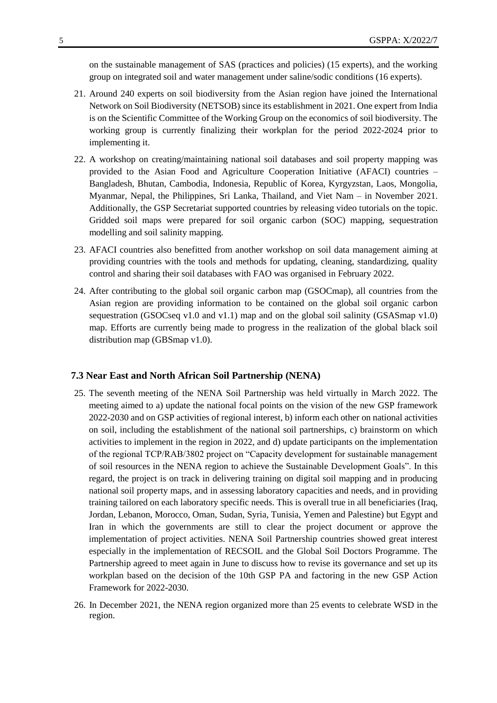on the sustainable management of SAS (practices and policies) (15 experts), and the working group on integrated soil and water management under saline/sodic conditions (16 experts).

- 21. Around 240 experts on soil biodiversity from the Asian region have joined the International Network on Soil Biodiversity (NETSOB) since its establishment in 2021. One expert from India is on the Scientific Committee of the Working Group on the economics of soil biodiversity. The working group is currently finalizing their workplan for the period 2022-2024 prior to implementing it.
- 22. A workshop on creating/maintaining national soil databases and soil property mapping was provided to the Asian Food and Agriculture Cooperation Initiative (AFACI) countries – Bangladesh, Bhutan, Cambodia, Indonesia, Republic of Korea, Kyrgyzstan, Laos, Mongolia, Myanmar, Nepal, the Philippines, Sri Lanka, Thailand, and Viet Nam – in November 2021. Additionally, the GSP Secretariat supported countries by releasing video tutorials on the topic. Gridded soil maps were prepared for soil organic carbon (SOC) mapping, sequestration modelling and soil salinity mapping.
- 23. AFACI countries also benefitted from another workshop on soil data management aiming at providing countries with the tools and methods for updating, cleaning, standardizing, quality control and sharing their soil databases with FAO was organised in February 2022.
- 24. After contributing to the global soil organic carbon map (GSOCmap), all countries from the Asian region are providing information to be contained on the global soil organic carbon sequestration (GSOCseq v1.0 and v1.1) map and on the global soil salinity (GSASmap v1.0) map. Efforts are currently being made to progress in the realization of the global black soil distribution map (GBSmap v1.0).

#### **7.3 Near East and North African Soil Partnership (NENA)**

- 25. The seventh meeting of the NENA Soil Partnership was held virtually in March 2022. The meeting aimed to a) update the national focal points on the vision of the new GSP framework 2022-2030 and on GSP activities of regional interest, b) inform each other on national activities on soil, including the establishment of the national soil partnerships, c) brainstorm on which activities to implement in the region in 2022, and d) update participants on the implementation of the regional TCP/RAB/3802 project on "Capacity development for sustainable management of soil resources in the NENA region to achieve the Sustainable Development Goals". In this regard, the project is on track in delivering training on digital soil mapping and in producing national soil property maps, and in assessing laboratory capacities and needs, and in providing training tailored on each laboratory specific needs. This is overall true in all beneficiaries (Iraq, Jordan, Lebanon, Morocco, Oman, Sudan, Syria, Tunisia, Yemen and Palestine) but Egypt and Iran in which the governments are still to clear the project document or approve the implementation of project activities. NENA Soil Partnership countries showed great interest especially in the implementation of RECSOIL and the Global Soil Doctors Programme. The Partnership agreed to meet again in June to discuss how to revise its governance and set up its workplan based on the decision of the 10th GSP PA and factoring in the new GSP Action Framework for 2022-2030.
- 26. In December 2021, the NENA region organized more than 25 events to celebrate WSD in the region.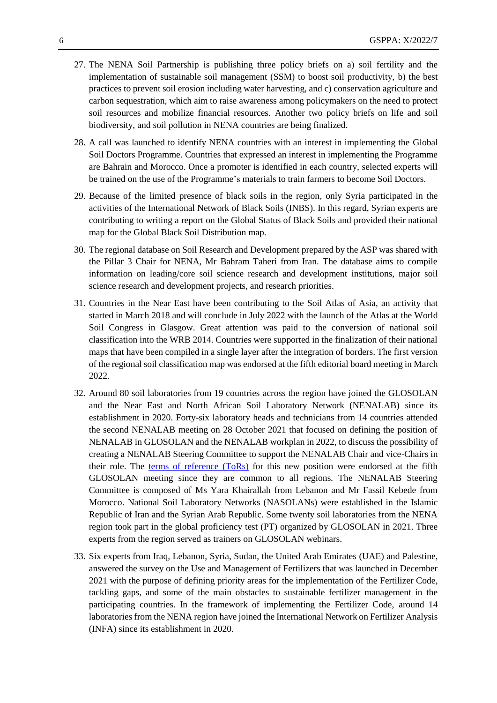- 27. The NENA Soil Partnership is publishing three policy briefs on a) soil fertility and the implementation of sustainable soil management (SSM) to boost soil productivity, b) the best practices to prevent soil erosion including water harvesting, and c) conservation agriculture and carbon sequestration, which aim to raise awareness among policymakers on the need to protect soil resources and mobilize financial resources. Another two policy briefs on life and soil biodiversity, and soil pollution in NENA countries are being finalized.
- 28. A call was launched to identify NENA countries with an interest in implementing the Global Soil Doctors Programme. Countries that expressed an interest in implementing the Programme are Bahrain and Morocco. Once a promoter is identified in each country, selected experts will be trained on the use of the Programme's materials to train farmers to become Soil Doctors.
- 29. Because of the limited presence of black soils in the region, only Syria participated in the activities of the International Network of Black Soils (INBS). In this regard, Syrian experts are contributing to writing a report on the Global Status of Black Soils and provided their national map for the Global Black Soil Distribution map.
- 30. The regional database on Soil Research and Development prepared by the ASP was shared with the Pillar 3 Chair for NENA, Mr Bahram Taheri from Iran. The database aims to compile information on leading/core soil science research and development institutions, major soil science research and development projects, and research priorities.
- 31. Countries in the Near East have been contributing to the Soil Atlas of Asia, an activity that started in March 2018 and will conclude in July 2022 with the launch of the Atlas at the World Soil Congress in Glasgow. Great attention was paid to the conversion of national soil classification into the WRB 2014. Countries were supported in the finalization of their national maps that have been compiled in a single layer after the integration of borders. The first version of the regional soil classification map was endorsed at the fifth editorial board meeting in March 2022.
- 32. Around 80 soil laboratories from 19 countries across the region have joined the GLOSOLAN and the Near East and North African Soil Laboratory Network (NENALAB) since its establishment in 2020. Forty-six laboratory heads and technicians from 14 countries attended the second NENALAB meeting on 28 October 2021 that focused on defining the position of NENALAB in GLOSOLAN and the NENALAB workplan in 2022, to discuss the possibility of creating a NENALAB Steering Committee to support the NENALAB Chair and vice-Chairs in their role. The [terms of reference](https://www.fao.org/3/cb7824en/cb7824en.pdf) (ToRs) for this new position were endorsed at the fifth GLOSOLAN meeting since they are common to all regions. The NENALAB Steering Committee is composed of Ms Yara Khairallah from Lebanon and Mr Fassil Kebede from Morocco. National Soil Laboratory Networks (NASOLANs) were established in the Islamic Republic of Iran and the Syrian Arab Republic. Some twenty soil laboratories from the NENA region took part in the global proficiency test (PT) organized by GLOSOLAN in 2021. Three experts from the region served as trainers on GLOSOLAN webinars.
- 33. Six experts from Iraq, Lebanon, Syria, Sudan, the United Arab Emirates (UAE) and Palestine, answered the survey on the Use and Management of Fertilizers that was launched in December 2021 with the purpose of defining priority areas for the implementation of the Fertilizer Code, tackling gaps, and some of the main obstacles to sustainable fertilizer management in the participating countries. In the framework of implementing the Fertilizer Code, around 14 laboratories from the NENA region have joined the International Network on Fertilizer Analysis (INFA) since its establishment in 2020.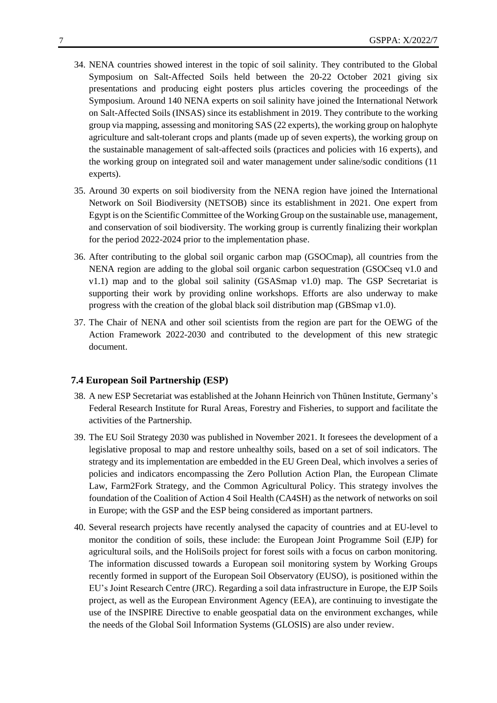- 34. NENA countries showed interest in the topic of soil salinity. They contributed to the Global Symposium on Salt-Affected Soils held between the 20-22 October 2021 giving six presentations and producing eight posters plus articles covering the proceedings of the Symposium. Around 140 NENA experts on soil salinity have joined the International Network on Salt-Affected Soils (INSAS) since its establishment in 2019. They contribute to the working group via mapping, assessing and monitoring SAS (22 experts), the working group on halophyte agriculture and salt-tolerant crops and plants (made up of seven experts), the working group on the sustainable management of salt-affected soils (practices and policies with 16 experts), and the working group on integrated soil and water management under saline/sodic conditions (11 experts).
- 35. Around 30 experts on soil biodiversity from the NENA region have joined the International Network on Soil Biodiversity (NETSOB) since its establishment in 2021. One expert from Egypt is on the Scientific Committee of the Working Group on the sustainable use, management, and conservation of soil biodiversity. The working group is currently finalizing their workplan for the period 2022-2024 prior to the implementation phase.
- 36. After contributing to the global soil organic carbon map (GSOCmap), all countries from the NENA region are adding to the global soil organic carbon sequestration (GSOCseq v1.0 and v1.1) map and to the global soil salinity (GSASmap v1.0) map. The GSP Secretariat is supporting their work by providing online workshops. Efforts are also underway to make progress with the creation of the global black soil distribution map (GBSmap v1.0).
- 37. The Chair of NENA and other soil scientists from the region are part for the OEWG of the Action Framework 2022-2030 and contributed to the development of this new strategic document.

#### **7.4 European Soil Partnership (ESP)**

- 38. A new ESP Secretariat was established at the Johann Heinrich von Thünen Institute, Germany's Federal Research Institute for Rural Areas, Forestry and Fisheries, to support and facilitate the activities of the Partnership.
- 39. The EU Soil Strategy 2030 was published in November 2021. It foresees the development of a legislative proposal to map and restore unhealthy soils, based on a set of soil indicators. The strategy and its implementation are embedded in the EU Green Deal, which involves a series of policies and indicators encompassing the Zero Pollution Action Plan, the European Climate Law, Farm2Fork Strategy, and the Common Agricultural Policy. This strategy involves the foundation of the Coalition of Action 4 Soil Health (CA4SH) as the network of networks on soil in Europe; with the GSP and the ESP being considered as important partners.
- 40. Several research projects have recently analysed the capacity of countries and at EU-level to monitor the condition of soils, these include: the European Joint Programme Soil (EJP) for agricultural soils, and the HoliSoils project for forest soils with a focus on carbon monitoring. The information discussed towards a European soil monitoring system by Working Groups recently formed in support of the European Soil Observatory (EUSO), is positioned within the EU's Joint Research Centre (JRC). Regarding a soil data infrastructure in Europe, the EJP Soils project, as well as the European Environment Agency (EEA), are continuing to investigate the use of the INSPIRE Directive to enable geospatial data on the environment exchanges, while the needs of the Global Soil Information Systems (GLOSIS) are also under review.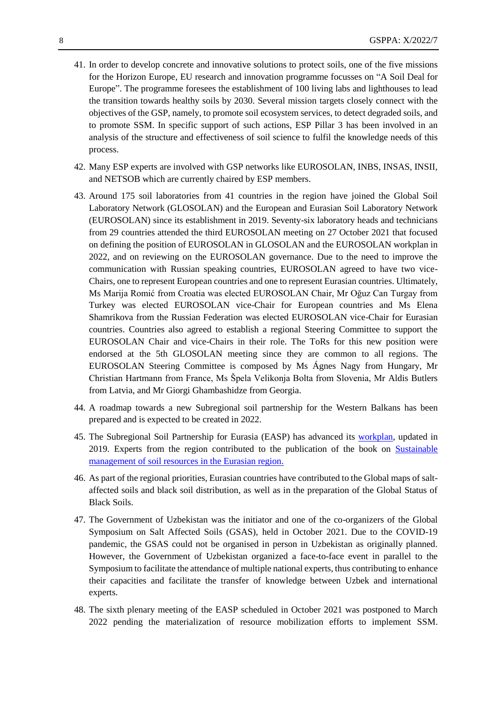- 41. In order to develop concrete and innovative solutions to protect soils, one of the five missions for the Horizon Europe, EU research and innovation programme focusses on "A Soil Deal for Europe". The programme foresees the establishment of 100 living labs and lighthouses to lead the transition towards healthy soils by 2030. Several mission targets closely connect with the objectives of the GSP, namely, to promote soil ecosystem services, to detect degraded soils, and to promote SSM. In specific support of such actions, ESP Pillar 3 has been involved in an analysis of the structure and effectiveness of soil science to fulfil the knowledge needs of this process.
- 42. Many ESP experts are involved with GSP networks like EUROSOLAN, INBS, INSAS, INSII, and NETSOB which are currently chaired by ESP members.
- 43. Around 175 soil laboratories from 41 countries in the region have joined the Global Soil Laboratory Network (GLOSOLAN) and the European and Eurasian Soil Laboratory Network (EUROSOLAN) since its establishment in 2019. Seventy-six laboratory heads and technicians from 29 countries attended the third EUROSOLAN meeting on 27 October 2021 that focused on defining the position of EUROSOLAN in GLOSOLAN and the EUROSOLAN workplan in 2022, and on reviewing on the EUROSOLAN governance. Due to the need to improve the communication with Russian speaking countries, EUROSOLAN agreed to have two vice-Chairs, one to represent European countries and one to represent Eurasian countries. Ultimately, Ms Marija Romić from Croatia was elected EUROSOLAN Chair, Mr Oğuz Can Turgay from Turkey was elected EUROSOLAN vice-Chair for European countries and Ms Elena Shamrikova from the Russian Federation was elected EUROSOLAN vice-Chair for Eurasian countries. Countries also agreed to establish a regional Steering Committee to support the EUROSOLAN Chair and vice-Chairs in their role. The ToRs for this new position were endorsed at the 5th GLOSOLAN meeting since they are common to all regions. The EUROSOLAN Steering Committee is composed by Ms Ágnes Nagy from Hungary, Mr Christian Hartmann from France, Ms Špela Velikonja Bolta from Slovenia, Mr Aldis Butlers from Latvia, and Mr Giorgi Ghambashidze from Georgia.
- 44. A roadmap towards a new Subregional soil partnership for the Western Balkans has been prepared and is expected to be created in 2022.
- 45. The Subregional Soil Partnership for Eurasia (EASP) has advanced its [workplan,](https://www.fao.org/3/ca7794en/ca7794en.pdf) updated in 2019. Experts from the region contributed to the publication of the book on [Sustainable](https://www.fao.org/documents/card/ru/c/cb5827ru)  [management of soil resources in the Eurasian region.](https://www.fao.org/documents/card/ru/c/cb5827ru)
- 46. As part of the regional priorities, Eurasian countries have contributed to the Global maps of saltaffected soils and black soil distribution, as well as in the preparation of the Global Status of Black Soils.
- 47. The Government of Uzbekistan was the initiator and one of the co-organizers of the Global Symposium on Salt Affected Soils (GSAS), held in October 2021. Due to the COVID-19 pandemic, the GSAS could not be organised in person in Uzbekistan as originally planned. However, the Government of Uzbekistan organized a face-to-face event in parallel to the Symposium to facilitate the attendance of multiple national experts, thus contributing to enhance their capacities and facilitate the transfer of knowledge between Uzbek and international experts.
- 48. The sixth plenary meeting of the EASP scheduled in October 2021 was postponed to March 2022 pending the materialization of resource mobilization efforts to implement SSM.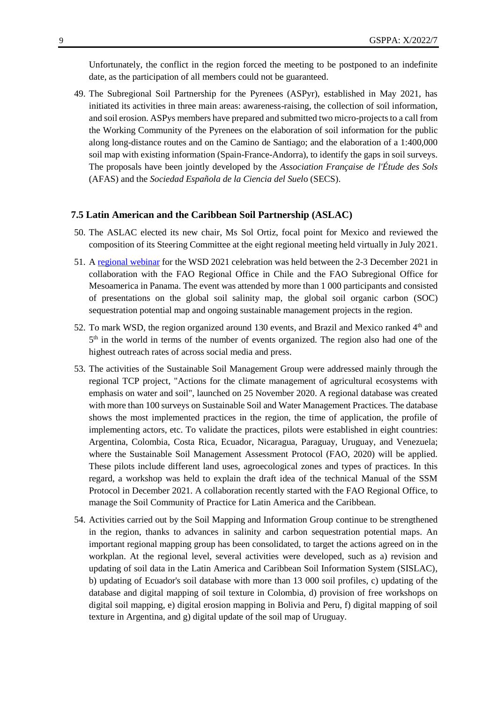Unfortunately, the conflict in the region forced the meeting to be postponed to an indefinite date, as the participation of all members could not be guaranteed.

49. The Subregional Soil Partnership for the Pyrenees (ASPyr), established in May 2021, has initiated its activities in three main areas: awareness-raising, the collection of soil information, and soil erosion. ASPys members have prepared and submitted two micro-projects to a call from the Working Community of the Pyrenees on the elaboration of soil information for the public along long-distance routes and on the Camino de Santiago; and the elaboration of a 1:400,000 soil map with existing information (Spain-France-Andorra), to identify the gaps in soil surveys. The proposals have been jointly developed by the *Association Française de l'Étude des Sols* (AFAS) and the *Sociedad Española de la Ciencia del Suel*o (SECS).

#### **7.5 Latin American and the Caribbean Soil Partnership (ASLAC)**

- 50. The ASLAC elected its new chair, Ms Sol Ortiz, focal point for Mexico and reviewed the composition of its Steering Committee at the eight regional meeting held virtually in July 2021.
- 51. A [regional webinar](https://www.fao.org/global-soil-partnership/resources/events/detail/en/c/1470534/) for the WSD 2021 celebration was held between the 2-3 December 2021 in collaboration with the FAO Regional Office in Chile and the FAO Subregional Office for Mesoamerica in Panama. The event was attended by more than 1 000 participants and consisted of presentations on the global soil salinity map, the global soil organic carbon (SOC) sequestration potential map and ongoing sustainable management projects in the region.
- 52. To mark WSD, the region organized around 130 events, and Brazil and Mexico ranked  $4<sup>th</sup>$  and 5<sup>th</sup> in the world in terms of the number of events organized. The region also had one of the highest outreach rates of across social media and press.
- 53. The activities of the Sustainable Soil Management Group were addressed mainly through the regional TCP project, "Actions for the climate management of agricultural ecosystems with emphasis on water and soil", launched on 25 November 2020. A regional database was created with more than 100 surveys on Sustainable Soil and Water Management Practices. The database shows the most implemented practices in the region, the time of application, the profile of implementing actors, etc. To validate the practices, pilots were established in eight countries: Argentina, Colombia, Costa Rica, Ecuador, Nicaragua, Paraguay, Uruguay, and Venezuela; where the Sustainable Soil Management Assessment Protocol (FAO, 2020) will be applied. These pilots include different land uses, agroecological zones and types of practices. In this regard, a workshop was held to explain the draft idea of the technical Manual of the SSM Protocol in December 2021. A collaboration recently started with the FAO Regional Office, to manage the Soil Community of Practice for Latin America and the Caribbean.
- 54. Activities carried out by the Soil Mapping and Information Group continue to be strengthened in the region, thanks to advances in salinity and carbon sequestration potential maps. An important regional mapping group has been consolidated, to target the actions agreed on in the workplan. At the regional level, several activities were developed, such as a) revision and updating of soil data in the Latin America and Caribbean Soil Information System (SISLAC), b) updating of Ecuador's soil database with more than 13 000 soil profiles, c) updating of the database and digital mapping of soil texture in Colombia, d) provision of free workshops on digital soil mapping, e) digital erosion mapping in Bolivia and Peru, f) digital mapping of soil texture in Argentina, and g) digital update of the soil map of Uruguay.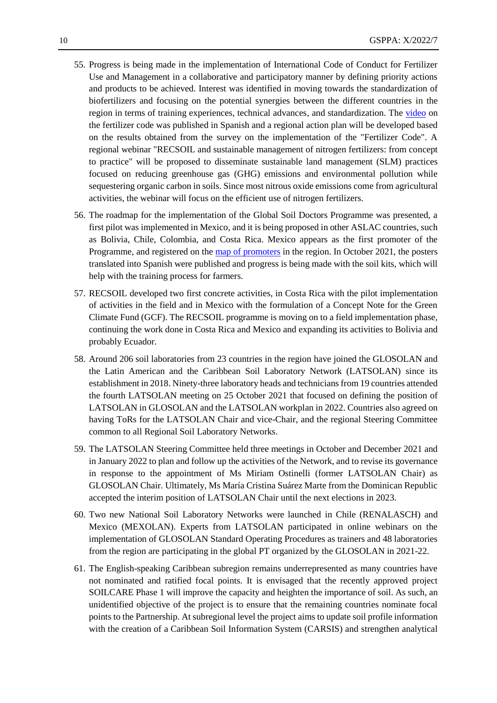- 55. Progress is being made in the implementation of International Code of Conduct for Fertilizer Use and Management in a collaborative and participatory manner by defining priority actions and products to be achieved. Interest was identified in moving towards the standardization of biofertilizers and focusing on the potential synergies between the different countries in the region in terms of training experiences, technical advances, and standardization. The [video](https://youtu.be/LIlUmHhapyI) on the fertilizer code was published in Spanish and a regional action plan will be developed based on the results obtained from the survey on the implementation of the "Fertilizer Code". A regional webinar "RECSOIL and sustainable management of nitrogen fertilizers: from concept to practice" will be proposed to disseminate sustainable land management (SLM) practices focused on reducing greenhouse gas (GHG) emissions and environmental pollution while sequestering organic carbon in soils. Since most nitrous oxide emissions come from agricultural activities, the webinar will focus on the efficient use of nitrogen fertilizers.
- 56. The roadmap for the implementation of the Global Soil Doctors Programme was presented, a first pilot was implemented in Mexico, and it is being proposed in other ASLAC countries, such as Bolivia, Chile, Colombia, and Costa Rica. Mexico appears as the first promoter of the Programme, and registered on the [map of promoters](https://www.fao.org/global-soil-partnership/resources/highlights/detail/en/c/1470466/) in the region. In October 2021, the posters translated into Spanish were published and progress is being made with the soil kits, which will help with the training process for farmers.
- 57. RECSOIL developed two first concrete activities, in Costa Rica with the pilot implementation of activities in the field and in Mexico with the formulation of a Concept Note for the Green Climate Fund (GCF). The RECSOIL programme is moving on to a field implementation phase, continuing the work done in Costa Rica and Mexico and expanding its activities to Bolivia and probably Ecuador.
- 58. Around 206 soil laboratories from 23 countries in the region have joined the GLOSOLAN and the Latin American and the Caribbean Soil Laboratory Network (LATSOLAN) since its establishment in 2018. Ninety-three laboratory heads and technicians from 19 countries attended the fourth LATSOLAN meeting on 25 October 2021 that focused on defining the position of LATSOLAN in GLOSOLAN and the LATSOLAN workplan in 2022. Countries also agreed on having ToRs for the LATSOLAN Chair and vice-Chair, and the regional Steering Committee common to all Regional Soil Laboratory Networks.
- 59. The LATSOLAN Steering Committee held three meetings in October and December 2021 and in January 2022 to plan and follow up the activities of the Network, and to revise its governance in response to the appointment of Ms Miriam Ostinelli (former LATSOLAN Chair) as GLOSOLAN Chair. Ultimately, Ms María Cristina Suárez Marte from the Dominican Republic accepted the interim position of LATSOLAN Chair until the next elections in 2023.
- 60. Two new National Soil Laboratory Networks were launched in Chile (RENALASCH) and Mexico (MEXOLAN). Experts from LATSOLAN participated in online webinars on the implementation of GLOSOLAN Standard Operating Procedures as trainers and 48 laboratories from the region are participating in the global PT organized by the GLOSOLAN in 2021-22.
- 61. The English-speaking Caribbean subregion remains underrepresented as many countries have not nominated and ratified focal points. It is envisaged that the recently approved project SOILCARE Phase 1 will improve the capacity and heighten the importance of soil. As such, an unidentified objective of the project is to ensure that the remaining countries nominate focal points to the Partnership. At subregional level the project aims to update soil profile information with the creation of a Caribbean Soil Information System (CARSIS) and strengthen analytical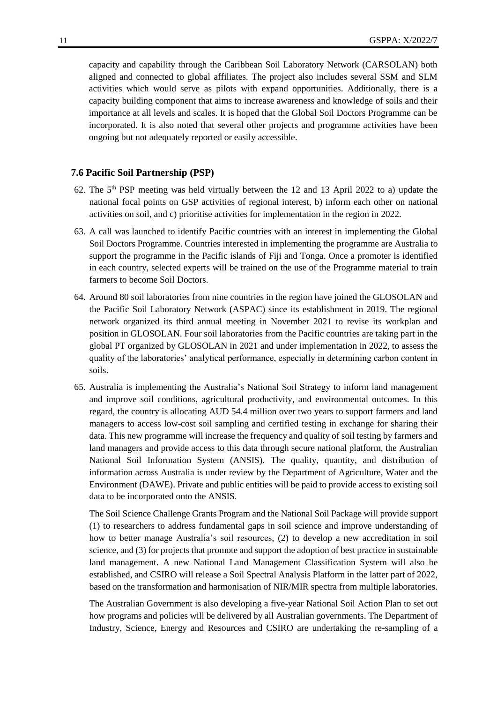capacity and capability through the Caribbean Soil Laboratory Network (CARSOLAN) both aligned and connected to global affiliates. The project also includes several SSM and SLM activities which would serve as pilots with expand opportunities. Additionally, there is a capacity building component that aims to increase awareness and knowledge of soils and their importance at all levels and scales. It is hoped that the Global Soil Doctors Programme can be incorporated. It is also noted that several other projects and programme activities have been ongoing but not adequately reported or easily accessible.

#### **7.6 Pacific Soil Partnership (PSP)**

- 62. The  $5<sup>th</sup>$  PSP meeting was held virtually between the 12 and 13 April 2022 to a) update the national focal points on GSP activities of regional interest, b) inform each other on national activities on soil, and c) prioritise activities for implementation in the region in 2022.
- 63. A call was launched to identify Pacific countries with an interest in implementing the Global Soil Doctors Programme. Countries interested in implementing the programme are Australia to support the programme in the Pacific islands of Fiji and Tonga. Once a promoter is identified in each country, selected experts will be trained on the use of the Programme material to train farmers to become Soil Doctors.
- 64. Around 80 soil laboratories from nine countries in the region have joined the GLOSOLAN and the Pacific Soil Laboratory Network (ASPAC) since its establishment in 2019. The regional network organized its third annual meeting in November 2021 to revise its workplan and position in GLOSOLAN. Four soil laboratories from the Pacific countries are taking part in the global PT organized by GLOSOLAN in 2021 and under implementation in 2022, to assess the quality of the laboratories' analytical performance, especially in determining carbon content in soils.
- 65. Australia is implementing the Australia's National Soil Strategy to inform land management and improve soil conditions, agricultural productivity, and environmental outcomes. In this regard, the country is allocating AUD 54.4 million over two years to support farmers and land managers to access low-cost soil sampling and certified testing in exchange for sharing their data. This new programme will increase the frequency and quality of soil testing by farmers and land managers and provide access to this data through secure national platform, the Australian National Soil Information System (ANSIS). The quality, quantity, and distribution of information across Australia is under review by the Department of Agriculture, Water and the Environment (DAWE). Private and public entities will be paid to provide access to existing soil data to be incorporated onto the ANSIS.

The Soil Science Challenge Grants Program and the National Soil Package will provide support (1) to researchers to address fundamental gaps in soil science and improve understanding of how to better manage Australia's soil resources, (2) to develop a new accreditation in soil science, and (3) for projects that promote and support the adoption of best practice in sustainable land management. A new National Land Management Classification System will also be established, and CSIRO will release a Soil Spectral Analysis Platform in the latter part of 2022, based on the transformation and harmonisation of NIR/MIR spectra from multiple laboratories.

The Australian Government is also developing a five-year National Soil Action Plan to set out how programs and policies will be delivered by all Australian governments. The Department of Industry, Science, Energy and Resources and CSIRO are undertaking the re-sampling of a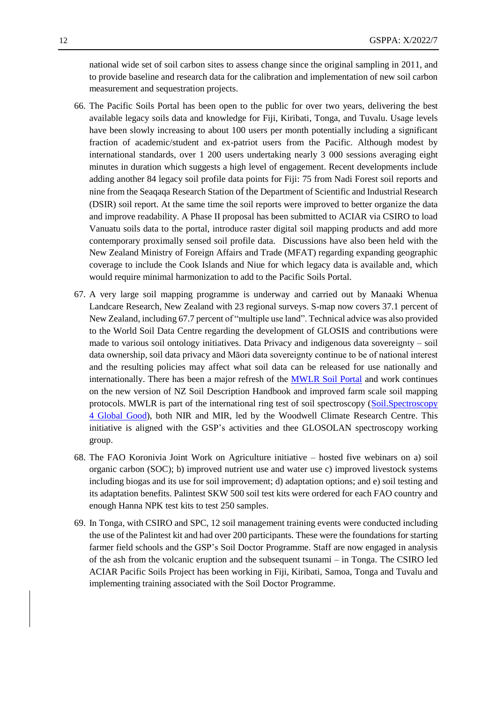national wide set of soil carbon sites to assess change since the original sampling in 2011, and to provide baseline and research data for the calibration and implementation of new soil carbon measurement and sequestration projects.

- 66. The Pacific Soils Portal has been open to the public for over two years, delivering the best available legacy soils data and knowledge for Fiji, Kiribati, Tonga, and Tuvalu. Usage levels have been slowly increasing to about 100 users per month potentially including a significant fraction of academic/student and ex-patriot users from the Pacific. Although modest by international standards, over 1 200 users undertaking nearly 3 000 sessions averaging eight minutes in duration which suggests a high level of engagement. Recent developments include adding another 84 legacy soil profile data points for Fiji: 75 from Nadi Forest soil reports and nine from the Seaqaqa Research Station of the Department of Scientific and Industrial Research (DSIR) soil report. At the same time the soil reports were improved to better organize the data and improve readability. A Phase II proposal has been submitted to ACIAR via CSIRO to load Vanuatu soils data to the portal, introduce raster digital soil mapping products and add more contemporary proximally sensed soil profile data. Discussions have also been held with the New Zealand Ministry of Foreign Affairs and Trade (MFAT) regarding expanding geographic coverage to include the Cook Islands and Niue for which legacy data is available and, which would require minimal harmonization to add to the Pacific Soils Portal.
- 67. A very large soil mapping programme is underway and carried out by Manaaki Whenua Landcare Research, New Zealand with 23 regional surveys. S-map now covers 37.1 percent of New Zealand, including 67.7 percent of "multiple use land". Technical advice was also provided to the World Soil Data Centre regarding the development of GLOSIS and contributions were made to various soil ontology initiatives. Data Privacy and indigenous data sovereignty – soil data ownership, soil data privacy and Māori data sovereignty continue to be of national interest and the resulting policies may affect what soil data can be released for use nationally and internationally. There has been a major refresh of the [MWLR Soil Portal](https://soils.landcareresearch.co.nz/) and work continues on the new version of NZ Soil Description Handbook and improved farm scale soil mapping protocols. MWLR is part of the international ring test of soil spectroscopy [\(Soil.Spectroscopy](https://soilspectroscopy.org/)  [4 Global Good\)](https://soilspectroscopy.org/), both NIR and MIR, led by the Woodwell Climate Research Centre. This initiative is aligned with the GSP's activities and thee GLOSOLAN spectroscopy working group.
- 68. The FAO Koronivia Joint Work on Agriculture initiative hosted five webinars on a) soil organic carbon (SOC); b) improved nutrient use and water use c) improved livestock systems including biogas and its use for soil improvement; d) adaptation options; and e) soil testing and its adaptation benefits. Palintest SKW 500 soil test kits were ordered for each FAO country and enough Hanna NPK test kits to test 250 samples.
- 69. In Tonga, with CSIRO and SPC, 12 soil management training events were conducted including the use of the Palintest kit and had over 200 participants. These were the foundations for starting farmer field schools and the GSP's Soil Doctor Programme. Staff are now engaged in analysis of the ash from the volcanic eruption and the subsequent tsunami – in Tonga. The CSIRO led ACIAR Pacific Soils Project has been working in Fiji, Kiribati, Samoa, Tonga and Tuvalu and implementing training associated with the Soil Doctor Programme.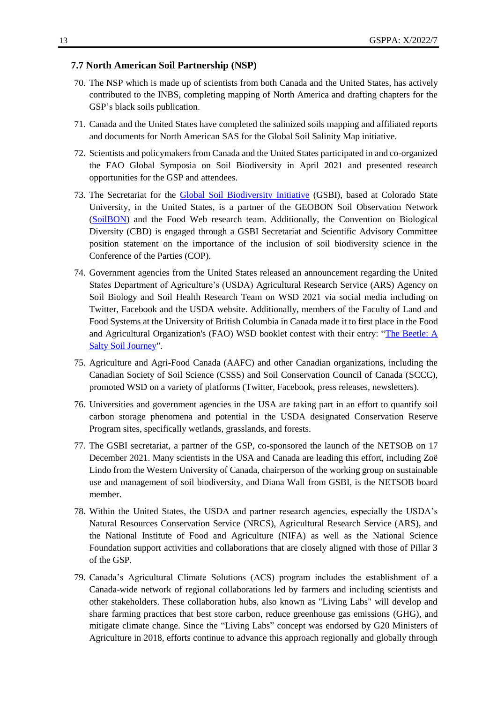#### **7.7 North American Soil Partnership (NSP)**

- 70. The NSP which is made up of scientists from both Canada and the United States, has actively contributed to the INBS, completing mapping of North America and drafting chapters for the GSP's black soils publication.
- 71. Canada and the United States have completed the salinized soils mapping and affiliated reports and documents for North American SAS for the Global Soil Salinity Map initiative.
- 72. Scientists and policymakers from Canada and the United States participated in and co-organized the FAO Global Symposia on Soil Biodiversity in April 2021 and presented research opportunities for the GSP and attendees.
- 73. The Secretariat for the [Global Soil Biodiversity Initiative](https://www.globalsoilbiodiversity.org/) (GSBI), based at Colorado State University, in the United States, is a partner of the GEOBON Soil Observation Network [\(SoilBON\)](https://monitor.soilbon.org/) and the Food Web research team. Additionally, the Convention on Biological Diversity (CBD) is engaged through a GSBI Secretariat and Scientific Advisory Committee position statement on the importance of the inclusion of soil biodiversity science in the Conference of the Parties (COP).
- 74. Government agencies from the United States released an announcement regarding the United States Department of Agriculture's (USDA) Agricultural Research Service (ARS) Agency on Soil Biology and Soil Health Research Team on WSD 2021 via social media including on Twitter, Facebook and the USDA website. Additionally, members of the Faculty of Land and Food Systems at the University of British Columbia in Canada made it to first place in the Food and Agricultural Organization's (FAO) WSD booklet contest with their entry: ["The Beetle: A](https://www.fao.org/world-soil-day/booklet-contest/en/)  [Salty Soil Journey"](https://www.fao.org/world-soil-day/booklet-contest/en/).
- 75. Agriculture and Agri-Food Canada (AAFC) and other Canadian organizations, including the Canadian Society of Soil Science (CSSS) and Soil Conservation Council of Canada (SCCC), promoted WSD on a variety of platforms (Twitter, Facebook, press releases, newsletters).
- 76. Universities and government agencies in the USA are taking part in an effort to quantify soil carbon storage phenomena and potential in the USDA designated Conservation Reserve Program sites, specifically wetlands, grasslands, and forests.
- 77. The GSBI secretariat, a partner of the GSP, co-sponsored the launch of the NETSOB on 17 December 2021. Many scientists in the USA and Canada are leading this effort, including Zoë Lindo from the Western University of Canada, chairperson of the working group on sustainable use and management of soil biodiversity, and Diana Wall from GSBI, is the NETSOB board member.
- 78. Within the United States, the USDA and partner research agencies, especially the USDA's Natural Resources Conservation Service (NRCS), Agricultural Research Service (ARS), and the National Institute of Food and Agriculture (NIFA) as well as the National Science Foundation support activities and collaborations that are closely aligned with those of Pillar 3 of the GSP.
- 79. Canada's Agricultural Climate Solutions (ACS) program includes the establishment of a Canada-wide network of regional collaborations led by farmers and including scientists and other stakeholders. These collaboration hubs, also known as "Living Labs" will develop and share farming practices that best store carbon, reduce greenhouse gas emissions (GHG), and mitigate climate change. Since the "Living Labs" concept was endorsed by G20 Ministers of Agriculture in 2018, efforts continue to advance this approach regionally and globally through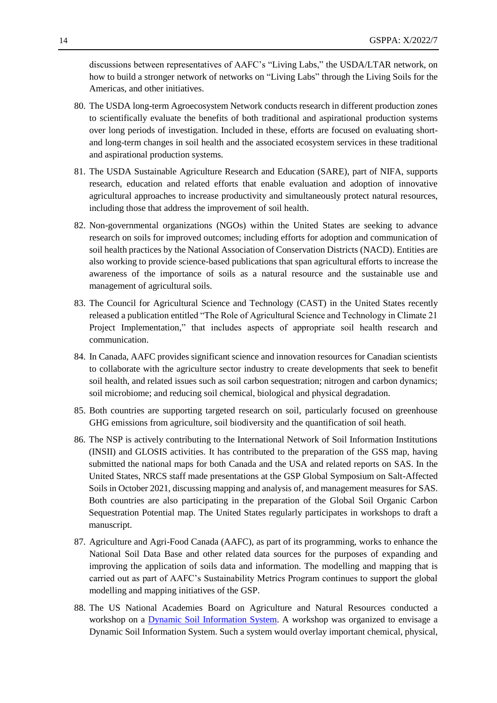discussions between representatives of AAFC's "Living Labs," the USDA/LTAR network, on how to build a stronger network of networks on "Living Labs" through the Living Soils for the Americas, and other initiatives.

- 80. The USDA long-term Agroecosystem Network conducts research in different production zones to scientifically evaluate the benefits of both traditional and aspirational production systems over long periods of investigation. Included in these, efforts are focused on evaluating shortand long-term changes in soil health and the associated ecosystem services in these traditional and aspirational production systems.
- 81. The USDA Sustainable Agriculture Research and Education (SARE), part of NIFA, supports research, education and related efforts that enable evaluation and adoption of innovative agricultural approaches to increase productivity and simultaneously protect natural resources, including those that address the improvement of soil health.
- 82. Non-governmental organizations (NGOs) within the United States are seeking to advance research on soils for improved outcomes; including efforts for adoption and communication of soil health practices by the National Association of Conservation Districts (NACD). Entities are also working to provide science-based publications that span agricultural efforts to increase the awareness of the importance of soils as a natural resource and the sustainable use and management of agricultural soils.
- 83. The Council for Agricultural Science and Technology (CAST) in the United States recently released a publication entitled "The Role of Agricultural Science and Technology in Climate 21 Project Implementation," that includes aspects of appropriate soil health research and communication.
- 84. In Canada, AAFC provides significant science and innovation resources for Canadian scientists to collaborate with the agriculture sector industry to create developments that seek to benefit soil health, and related issues such as soil carbon sequestration; nitrogen and carbon dynamics; soil microbiome; and reducing soil chemical, biological and physical degradation.
- 85. Both countries are supporting targeted research on soil, particularly focused on greenhouse GHG emissions from agriculture, soil biodiversity and the quantification of soil heath.
- 86. The NSP is actively contributing to the International Network of Soil Information Institutions (INSII) and GLOSIS activities. It has contributed to the preparation of the GSS map, having submitted the national maps for both Canada and the USA and related reports on SAS. In the United States, NRCS staff made presentations at the GSP Global Symposium on Salt-Affected Soils in October 2021, discussing mapping and analysis of, and management measures for SAS. Both countries are also participating in the preparation of the Global Soil Organic Carbon Sequestration Potential map. The United States regularly participates in workshops to draft a manuscript.
- 87. Agriculture and Agri-Food Canada (AAFC), as part of its programming, works to enhance the National Soil Data Base and other related data sources for the purposes of expanding and improving the application of soils data and information. The modelling and mapping that is carried out as part of AAFC's Sustainability Metrics Program continues to support the global modelling and mapping initiatives of the GSP.
- 88. The US National Academies Board on Agriculture and Natural Resources conducted a workshop on a **Dynamic Soil Information System**. A workshop was organized to envisage a Dynamic Soil Information System. Such a system would overlay important chemical, physical,